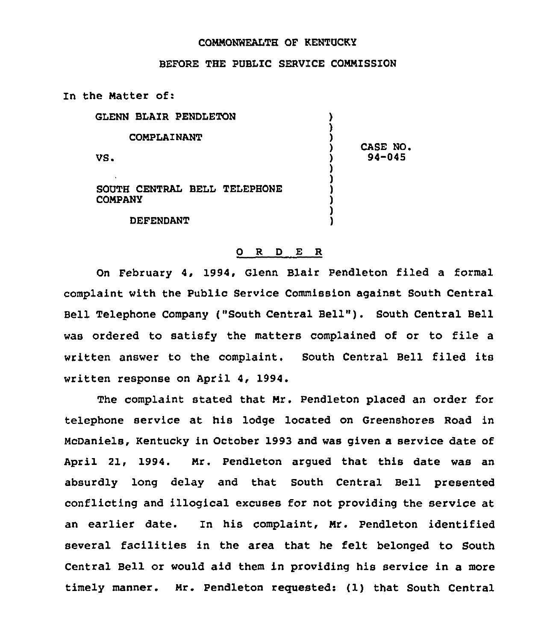## COMMONWEALTH OF KENTUCKY

## BEFORE THE PUBLIC SERVICE COMMISSION

In the Matter of:

| GLENN BLAIR PENDLETON             |                       |
|-----------------------------------|-----------------------|
| <b>COMPLAINANT</b>                |                       |
| VS.                               | CASE NO<br>$94 - 045$ |
| ٠<br>SOUTH CENTRAL BELL TELEPHONE |                       |
| <b>COMPANY</b>                    |                       |
| DEFENDANT                         |                       |

## 0 R <sup>D</sup> E R

On February 4, 1994, Glenn Blair Pendleton filed a formal complaint with the Public Service Commission against South Central Bell Telephone Company ("South Central Bell" ). South Central Bell was ordered to satisfy the matters complained of or to file a written answer to the complaint. South Central Bell filed its written response on April 4, 1994.

The complaint stated that Mr. Pendleton placed an order for telephone service at his lodge located on Greenshores Road in McDaniels, Kentucky in October 1993 and was given a service date of April 21, 1994. Mr. Pendleton argued that this date was an absurdly long delay and that South Central Bell presented conflicting and illogical excuses for not providing the service at an earlier date. In his complaint, Mr. Pendleton identified several facilities in the area that he felt belonged to South Central Bell or would aid them in providing his service in a more timely manner. Mr. Pendleton reguested: (1) that South Central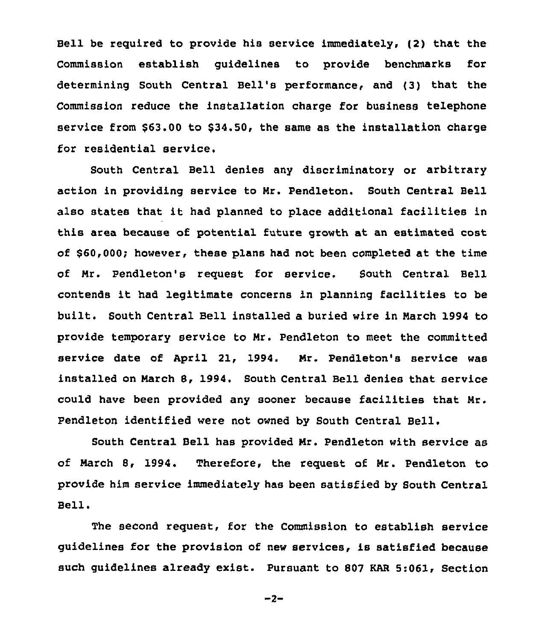Bell be required to provide his service immediately, (2} that the Commission establish guidelines to provide benchmarks for determining South Central Bell's performance, and (3} that the Commission reduce the installation charge for business telephone service from  $$63.00$  to  $$34.50$ , the same as the installation charge for residential service.

South Central Bell denies any discriminatory or arbitrary action in providing service to Mr. Pendleton. South Central Bell also states that it had planned to place additional facilities in this area because of potential future growth at an estimated cost of \$60,000; however, these plans had not been completed at the time of Nr. Pendleton's request for service. South Central Bell contends it had legitimate concerns in planning facilities to be built. South Central Bell installed a buried wire in March 1994 to provide temporary service to Nr. Pendleton to meet the committed service date of April 21, 1994. Mr. Pendleton's service was installed on March 8, 1994. South Central Bell denies that service could have been provided any sooner because facilities that Nr. Pendleton identified were not owned by South Central Bell.

South Central Bell has provided Nr. Pendleton with service as of March S, 1994. Therefore, the request of Nr. Pendleton to provide him service immediately has been satisfied by South Central Bell.

The second request, for the Commission to establish service guidelines for the provision of new services, is satisfied because such guidelines already exist. Pursuant to 807 EAR 5:061, Section

```
-2-
```